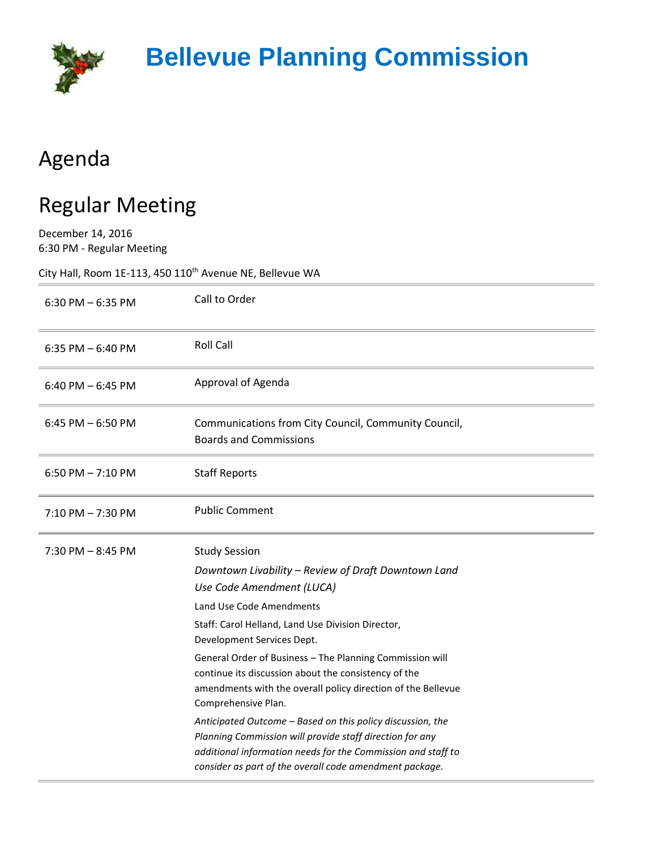

## **Bellevue Planning Commission**

## Agenda

## Regular Meeting

December 14, 2016 6:30 PM - Regular Meeting

City Hall, Room 1E-113, 450 110<sup>th</sup> Avenue NE, Bellevue WA

| $6:30$ PM $-6:35$ PM | Call to Order                                                                                                           |
|----------------------|-------------------------------------------------------------------------------------------------------------------------|
| 6:35 PM $-$ 6:40 PM  | <b>Roll Call</b>                                                                                                        |
| $6:40$ PM $-6:45$ PM | Approval of Agenda                                                                                                      |
| $6:45$ PM $-6:50$ PM | Communications from City Council, Community Council,<br><b>Boards and Commissions</b>                                   |
| 6:50 PM $- 7:10$ PM  | <b>Staff Reports</b>                                                                                                    |
| 7:10 PM - 7:30 PM    | <b>Public Comment</b>                                                                                                   |
|                      |                                                                                                                         |
| $7:30$ PM $-8:45$ PM | <b>Study Session</b>                                                                                                    |
|                      | Downtown Livability - Review of Draft Downtown Land                                                                     |
|                      | Use Code Amendment (LUCA)                                                                                               |
|                      | Land Use Code Amendments                                                                                                |
|                      | Staff: Carol Helland, Land Use Division Director,<br>Development Services Dept.                                         |
|                      | General Order of Business - The Planning Commission will                                                                |
|                      | continue its discussion about the consistency of the                                                                    |
|                      | amendments with the overall policy direction of the Bellevue<br>Comprehensive Plan.                                     |
|                      | Anticipated Outcome - Based on this policy discussion, the                                                              |
|                      | Planning Commission will provide staff direction for any                                                                |
|                      | additional information needs for the Commission and staff to<br>consider as part of the overall code amendment package. |